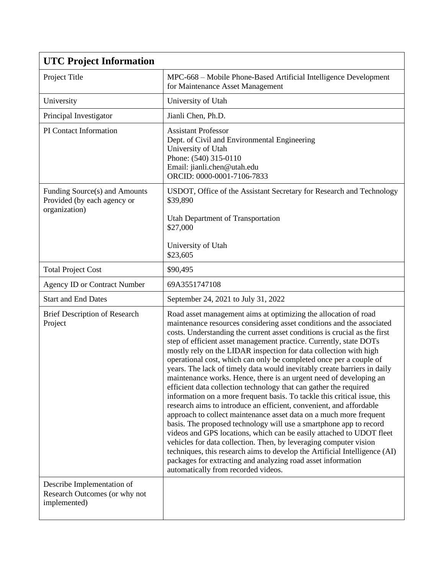| <b>UTC Project Information</b>                                                |                                                                                                                                                                                                                                                                                                                                                                                                                                                                                                                                                                                                                                                                                                                                                                                                                                                                                                                                                                                                                                                                                                                                                                                                                                                                                                 |
|-------------------------------------------------------------------------------|-------------------------------------------------------------------------------------------------------------------------------------------------------------------------------------------------------------------------------------------------------------------------------------------------------------------------------------------------------------------------------------------------------------------------------------------------------------------------------------------------------------------------------------------------------------------------------------------------------------------------------------------------------------------------------------------------------------------------------------------------------------------------------------------------------------------------------------------------------------------------------------------------------------------------------------------------------------------------------------------------------------------------------------------------------------------------------------------------------------------------------------------------------------------------------------------------------------------------------------------------------------------------------------------------|
| Project Title                                                                 | MPC-668 – Mobile Phone-Based Artificial Intelligence Development<br>for Maintenance Asset Management                                                                                                                                                                                                                                                                                                                                                                                                                                                                                                                                                                                                                                                                                                                                                                                                                                                                                                                                                                                                                                                                                                                                                                                            |
| University                                                                    | University of Utah                                                                                                                                                                                                                                                                                                                                                                                                                                                                                                                                                                                                                                                                                                                                                                                                                                                                                                                                                                                                                                                                                                                                                                                                                                                                              |
| Principal Investigator                                                        | Jianli Chen, Ph.D.                                                                                                                                                                                                                                                                                                                                                                                                                                                                                                                                                                                                                                                                                                                                                                                                                                                                                                                                                                                                                                                                                                                                                                                                                                                                              |
| PI Contact Information                                                        | <b>Assistant Professor</b><br>Dept. of Civil and Environmental Engineering<br>University of Utah<br>Phone: (540) 315-0110<br>Email: jianli.chen@utah.edu<br>ORCID: 0000-0001-7106-7833                                                                                                                                                                                                                                                                                                                                                                                                                                                                                                                                                                                                                                                                                                                                                                                                                                                                                                                                                                                                                                                                                                          |
| Funding Source(s) and Amounts<br>Provided (by each agency or<br>organization) | USDOT, Office of the Assistant Secretary for Research and Technology<br>\$39,890<br>Utah Department of Transportation<br>\$27,000<br>University of Utah                                                                                                                                                                                                                                                                                                                                                                                                                                                                                                                                                                                                                                                                                                                                                                                                                                                                                                                                                                                                                                                                                                                                         |
|                                                                               | \$23,605                                                                                                                                                                                                                                                                                                                                                                                                                                                                                                                                                                                                                                                                                                                                                                                                                                                                                                                                                                                                                                                                                                                                                                                                                                                                                        |
| <b>Total Project Cost</b>                                                     | \$90,495                                                                                                                                                                                                                                                                                                                                                                                                                                                                                                                                                                                                                                                                                                                                                                                                                                                                                                                                                                                                                                                                                                                                                                                                                                                                                        |
| <b>Agency ID or Contract Number</b>                                           | 69A3551747108                                                                                                                                                                                                                                                                                                                                                                                                                                                                                                                                                                                                                                                                                                                                                                                                                                                                                                                                                                                                                                                                                                                                                                                                                                                                                   |
| <b>Start and End Dates</b>                                                    | September 24, 2021 to July 31, 2022                                                                                                                                                                                                                                                                                                                                                                                                                                                                                                                                                                                                                                                                                                                                                                                                                                                                                                                                                                                                                                                                                                                                                                                                                                                             |
| <b>Brief Description of Research</b><br>Project                               | Road asset management aims at optimizing the allocation of road<br>maintenance resources considering asset conditions and the associated<br>costs. Understanding the current asset conditions is crucial as the first<br>step of efficient asset management practice. Currently, state DOTs<br>mostly rely on the LIDAR inspection for data collection with high<br>operational cost, which can only be completed once per a couple of<br>years. The lack of timely data would inevitably create barriers in daily<br>maintenance works. Hence, there is an urgent need of developing an<br>efficient data collection technology that can gather the required<br>information on a more frequent basis. To tackle this critical issue, this<br>research aims to introduce an efficient, convenient, and affordable<br>approach to collect maintenance asset data on a much more frequent<br>basis. The proposed technology will use a smartphone app to record<br>videos and GPS locations, which can be easily attached to UDOT fleet<br>vehicles for data collection. Then, by leveraging computer vision<br>techniques, this research aims to develop the Artificial Intelligence (AI)<br>packages for extracting and analyzing road asset information<br>automatically from recorded videos. |
| Describe Implementation of<br>Research Outcomes (or why not<br>implemented)   |                                                                                                                                                                                                                                                                                                                                                                                                                                                                                                                                                                                                                                                                                                                                                                                                                                                                                                                                                                                                                                                                                                                                                                                                                                                                                                 |